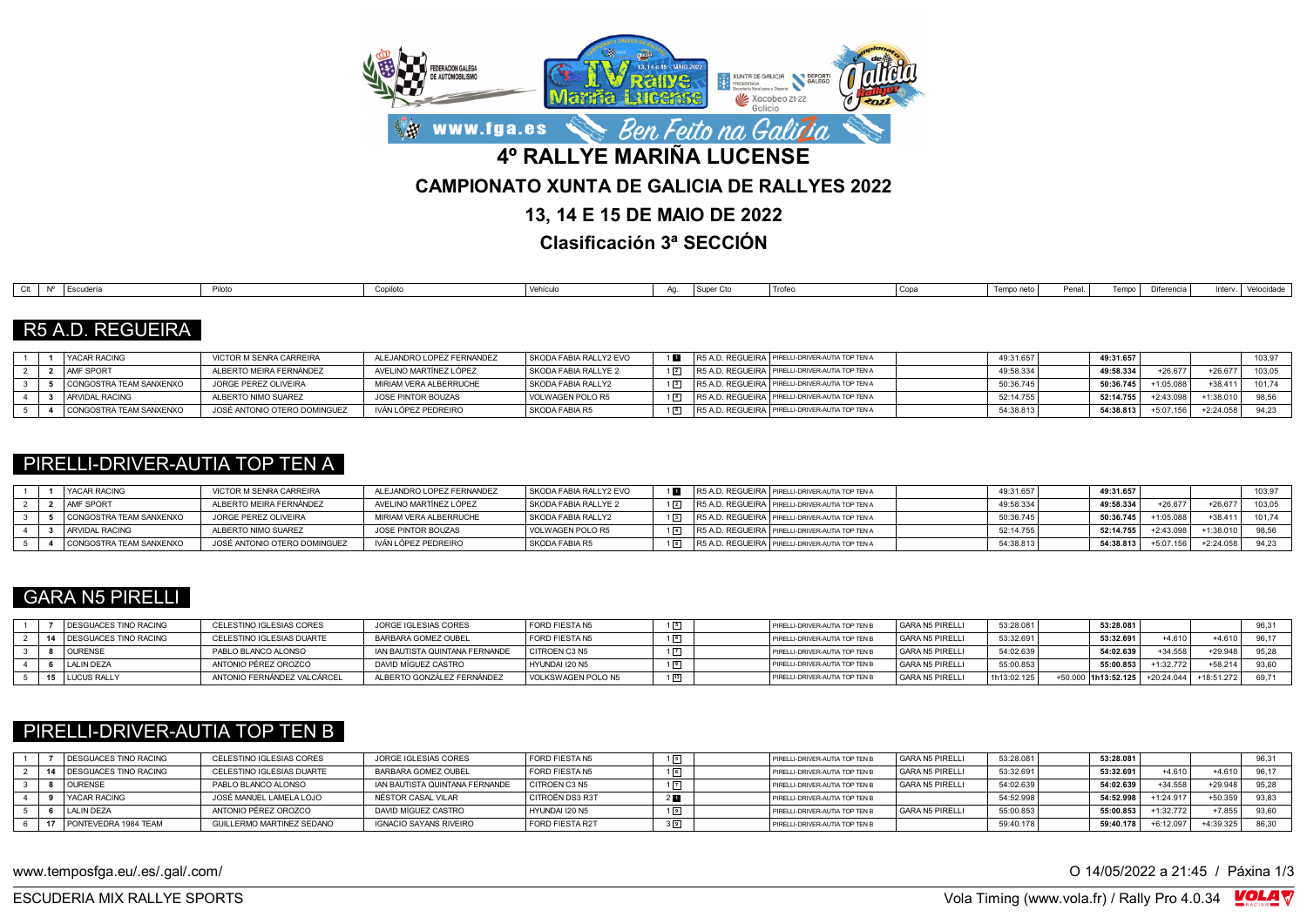

**Clasificación 3ª SECCIÓN**

| <b>Trofer</b><br>Super Cto<br>Tempo neto<br>د د د د ا<br>  Copa<br>ີ <sup>ຕ</sup> iferencia ∟<br>Penal.<br>Conilot<br>Δr<br><b>Escuderic</b><br>.<br>'Vellicu |  |  |  |  |  |  |  |            |
|---------------------------------------------------------------------------------------------------------------------------------------------------------------|--|--|--|--|--|--|--|------------|
|                                                                                                                                                               |  |  |  |  |  |  |  | Velocidade |

### R5 A.D. REGUEIRA

|  | YACAR RACING            | VICTOR M SENRA CARREIRA      | ALEJANDRO LOPEZ FERNANDEZ | SKODA FABIA RALLY2 EVO | 1 M | R5 A.D. REGUEIRA   PIRELLI-DRIVER-AUTIA TOP TEN A | 49:31.657 | 49:31.657 |                            | 103,97 |
|--|-------------------------|------------------------------|---------------------------|------------------------|-----|---------------------------------------------------|-----------|-----------|----------------------------|--------|
|  | AMF SPORT               | ALBERTO MEIRA FERNÁNDEZ      | AVELINO MARTÍNEZ LÓPEZ    | SKODA FABIA RALLYE 2   |     | R5 A.D. REGUEIRA   PIRELLI-DRIVER-AUTIA TOP TEN A | 49:58.334 | 49:58.334 | $+26.67$<br>$+26.677$      | 103.05 |
|  | CONGOSTRA TEAM SANXENXO | JORGE PEREZ OLIVEIRA         | MIRIAM VERA ALBERRUCHE    | SKODA FABIA RALLY2     |     | R5 A.D. REGUEIRA PIRELLI-DRIVER-AUTIA TOP TEN A   | 50:36.745 | 50:36.745 | $+38.411$                  | 101.74 |
|  | <b>ARVIDAL RACING</b>   | ALBERTO NIMO SUAREZ          | JOSE PINTOR BOUZAS        | VOLWAGEN POLO R5       |     | R5 A.D. REGUEIRA PIRELLI-DRIVER-AUTIA TOP TEN A   | 52:14.755 | 52:14.755 | $+1:38.010$<br>$+2:43.098$ |        |
|  | CONGOSTRA TEAM SANXENXO | JOSÉ ANTONIO OTERO DOMINGUEZ | IVÁN LÓPEZ PEDREIRO       | SKODA FABIA R5         |     | R5 A.D. REGUEIRA PIRELLI-DRIVER-AUTIA TOP TEN A   | 54:38.813 | 54:38.813 | $+2:24.05$<br>+5:07.156    | 94.23  |

### PIRELLI-DRIVER-AUTIA TOP TEN A

|  | <b>YACAR RACING</b>     | VICTOR M SENRA CARREIRA      | ALEJANDRO LOPEZ FERNANDEZ | SKODA FABIA RALLY2 EVO |  | R5 A.D. REGUEIRA PIRELLI-DRIVER-AUTIA TOP TEN A   | 49:31.657 | 49:31.657 |           |             | 103.97 |
|--|-------------------------|------------------------------|---------------------------|------------------------|--|---------------------------------------------------|-----------|-----------|-----------|-------------|--------|
|  | <b>AMF SPORT</b>        | ALBERTO MEIRA FERNÁNDEZ      | AVELINO MARTÍNEZ LÓPEZ    | SKODA FABIA RALLYE 2   |  | R5 A.D. REGUEIRA   PIRELLI-DRIVER-AUTIA TOP TEN A | 49:58.334 | 49:58.334 | $+26.677$ |             | 103.05 |
|  | CONGOSTRA TEAM SANXENXO | JORGE PEREZ OLIVEIRA         | MIRIAM VERA ALBERRUCHE    | SKODA FABIA RALLY2     |  | R5 A.D. REGUEIRA   PIRELLI-DRIVER-AUTIA TOP TEN A | 50:36.745 | 50:36.745 |           | $-38.411$   | 101.74 |
|  | <b>ARVIDAL RACING</b>   | ALBERTO NIMO SUAREZ          | JOSE PINTOR BOUZAS        | VOLWAGEN POLO R5       |  | R5 A.D. REGUEIRA PIRELLI-DRIVER-AUTIA TOP TEN A   | 52:14.755 | 52:14.755 |           | 1:38.0      | 98.56  |
|  | CONGOSTRA TEAM SANXENXO | JOSÉ ANTONIO OTERO DOMINGUEZ | IVÁN LÓPEZ PEDREIRO       | SKODA FABIA R5         |  | R5 A.D. REGUEIRA   PIRELLI-DRIVER-AUTIA TOP TEN A | 54:38.813 | 54:38.813 | 5:07.156  | $-2:24.058$ | 94.23  |

### GARA N5 PIRELLI

|  | <b>DESGUACES TINO RACING</b>    | CELESTINO IGLESIAS CORES    | JORGE IGLESIAS CORES           | FORD FIESTA N5     |  | PIRELLI-DRIVER-AUTIA TOP TEN B | GARA N5 PIRELLI | 53:28.081   | 53:28.081           |              |            |       |
|--|---------------------------------|-----------------------------|--------------------------------|--------------------|--|--------------------------------|-----------------|-------------|---------------------|--------------|------------|-------|
|  | <b>14 DESGUACES TINO RACING</b> | CELESTINO IGLESIAS DUARTE   | BARBARA GOMEZ OUBEL            | FORD FIESTA N5     |  | PIRELLI-DRIVER-AUTIA TOP TEN B | GARA N5 PIRELLI | 53:32.691   | 53:32.691           | $+4610$      | $+4.610$   | 96.17 |
|  | <b>OURENSE</b>                  | PABLO BLANCO ALONSO         | IAN BAUTISTA QUINTANA FERNANDE | I CITROEN C3 N5    |  | PIRELLI-DRIVER-AUTIA TOP TEN B | GARA N5 PIRELLI | 54:02.639   | 54:02.639           | $+34.558$    | $+29.948$  | 95.28 |
|  | <b>LALIN DEZA</b>               | ANTONIO PÉREZ OROZCO        | DAVID MÍGUEZ CASTRO            | I HYUNDAI 120 N5   |  | PIRELLI-DRIVER-AUTIA TOP TEN E | GARA N5 PIRELLI | 55:00.853   | 55:00.853           | $+1:32.772$  | $+58.214$  | 93.60 |
|  | 15 LUCUS RALLY                  | ANTONIO FERNÁNDEZ VALCÁRCEL | ALBERTO GONZÁLEZ FERNÁNDEZ     | VOLKSWAGEN POLO N5 |  | PIRELLI-DRIVER-AUTIA TOP TEN E | GARA N5 PIRELLI | 1h13:02.125 | +50.000 1h13:52.125 | $+20:24.044$ | +18:51.272 | 69.71 |

### PIRELLI-DRIVER-AUTIA TOP TEN B

| <b>DESGUACES TINO RACING</b> | CELESTINO IGLESIAS CORES  | JORGE IGLESIAS CORES           | FORD FIESTA N5         | $1\sqrt{5}$ | PIRELLI-DRIVER-AUTIA TOP TEN E | I GARA N5 PIRELLI | 53:28.081 | 53:28.081 |            |           | 96,31 |
|------------------------------|---------------------------|--------------------------------|------------------------|-------------|--------------------------------|-------------------|-----------|-----------|------------|-----------|-------|
| <b>DESGUACES TINO RACING</b> | CELESTINO IGLESIAS DUARTE | BARBARA GOMEZ OUBEL            | FORD FIESTA N5         | 16          | PIRELLI-DRIVER-AUTIA TOP TEN E | GARA N5 PIRELLI   | 53:32.691 | 53:32.691 | $+4.610$   | $+4.61$   | 96.17 |
| <b>OURENSE</b>               | PABLO BLANCO ALONSO       | IAN BAUTISTA QUINTANA FERNANDE | CITROEN C3 N5          |             | PIRELLI-DRIVER-AUTIA TOP TEN E | GARA N5 PIRELLI   | 54:02.639 | 54:02.639 | $+34.558$  | $+29.94$  | 95.28 |
| <b>YACAR RACING</b>          | JOSÉ MANUEL LAMELA LOJO   | NÉSTOR CASAL VILAR             | CITROËN DS3 R3T        | $2$ M       | PIRELLI-DRIVER-AUTIA TOP TEN B |                   | 54:52.998 | 54:52.99  | $-1:24.91$ | $+50.355$ | 93.83 |
| <b>LALIN DEZA</b>            | ANTONIO PÉREZ OROZCO      | DAVID MÍGUEZ CASTRO            | HYUNDAI I20 N5         |             | PIRELLI-DRIVER-AUTIA TOP TEN B | GARA N5 PIRELLI   | 55:00.853 | 55:00.853 | 1:32.772   | $+7.855$  | 93,60 |
| PONTEVEDRA 1984 TEAM         | GUILLERMO MARTINEZ SEDANO | <b>IGNACIO SAYANS RIVEIRO</b>  | <b>FORD FIESTA R2T</b> | $3\sqrt{9}$ | PIRELLI-DRIVER-AUTIA TOP TEN B |                   | 59:40.178 | 59:40.178 | $-6.12.05$ | 4:39.325  | 86.30 |

www.temposfga.eu/.es/.gal/.com/ **O 14/05/2022** a 21:45 / Páxina 1/3

VolaSoftControlPdf ESCUDERIA MIX RALLYE SPORTS Vola Timing (www.vola.fr) / Rally Pro 4.0.34

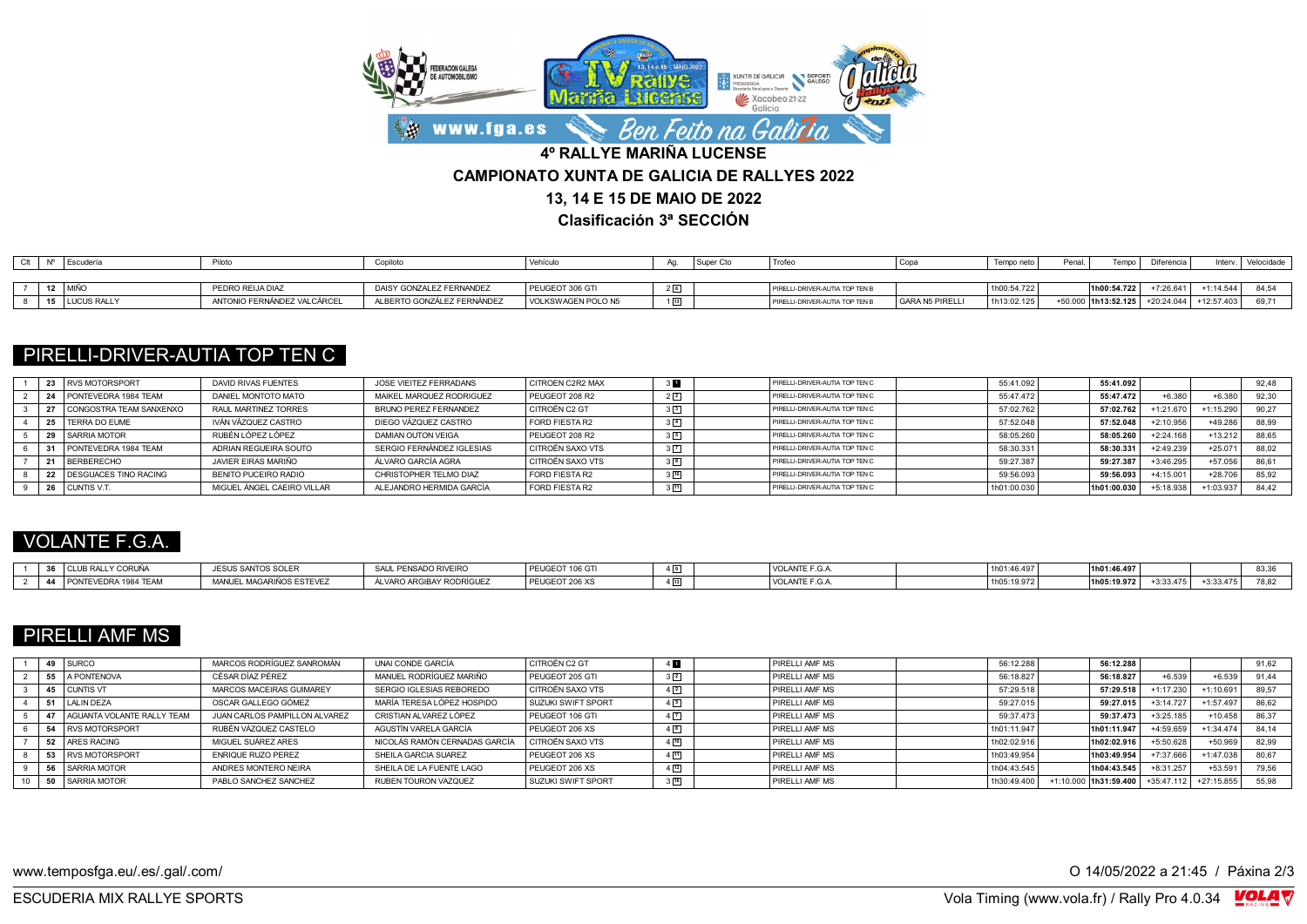

**Clasificación 3ª SECCIÓN**

|  | Escudería        | Piloto                      | Copiloto                   | Vehícuk            | Aa.            | Super C. | Trofe                          | Copa                   | Tempo neto  | Penal. |                     | הrencia          | Interv      | Velocidade |
|--|------------------|-----------------------------|----------------------------|--------------------|----------------|----------|--------------------------------|------------------------|-------------|--------|---------------------|------------------|-------------|------------|
|  |                  |                             |                            |                    |                |          |                                |                        |             |        |                     |                  |             |            |
|  | 12 MIÑO          | PEDRO REIJA DIAZ            | DAISY GONZALEZ FERNANDEZ   | PEUGEOT 306 GTI    | 2 <sub>6</sub> |          | PIRELLI-DRIVER-AUTIA TOP TEN B |                        | 1h00:54.722 |        | 1h00:54.722         | $-7:26.641$      | $+1:14.544$ | 0.4E       |
|  | 15   LUCUS RALLY | ANTONIO FERNÁNDEZ VALCÁRCEL | ALBERTO GONZÁLEZ FERNÁNDEZ | VOLKSWAGEN POLO N5 |                |          | PIRELLI-DRIVER-AUTIA TOP TEN E | <b>GARA N5 PIRELLI</b> | 1h13:02.125 |        | +50.000 1h13:52.125 | $-1 + 20:24.044$ | +12:57.403  |            |

# PIRELLI-DRIVER-AUTIA TOP TEN C

|  | <b>RVS MOTORSPORT</b>          | DAVID RIVAS FUENTES        | JOSE VIFITEZ FERRADANS    | <b>CITROEN C2R2 MAX</b> |             | PIRELLI-DRIVER-AUTIA TOP TEN C | 55:41.092   | 55:41.092   |             |            | 92.48 |
|--|--------------------------------|----------------------------|---------------------------|-------------------------|-------------|--------------------------------|-------------|-------------|-------------|------------|-------|
|  | PONTEVEDRA 1984 TEAM           | DANIEL MONTOTO MATO        | MAIKEL MARQUEZ RODRIGUEZ  | PEUGEOT 208 R2          | $2\sqrt{2}$ | PIRELLI-DRIVER-AUTIA TOP TEN C | 55:47.472   | 55:47.472   | $+6.380$    | $+6.38C$   | 92.30 |
|  | CONGOSTRA TEAM SANXENXO        | RAUL MARTINEZ TORRES       | BRUNO PEREZ FERNANDEZ     | CITROËN C2 GT           |             | PIRELLI-DRIVER-AUTIA TOP TEN C | 57:02.762   | 57:02.762   | $-1:21.670$ | $-1:15.29$ | 90.27 |
|  | TERRA DO EUME                  | IVÁN VÁZOUEZ CASTRO        | DIEGO VÁZQUEZ CASTRO      | FORD FIESTA R2          |             | PIRELLI-DRIVER-AUTIA TOP TEN C | 57:52.048   | 57:52.048   | $+2:10.956$ | $+49.28$   | 88,99 |
|  | <b>SARRIA MOTOR</b>            | RUBÉN LÓPEZ LÓPEZ          | DAMIAN OUTON VEIGA        | PEUGEOT 208 R2          |             | PIRELLI-DRIVER-AUTIA TOP TEN C | 58:05.260   | 58:05.260   | $-2:24.168$ | $+13.21$   | 88.65 |
|  | PONTEVEDRA 1984 TEAM           | ADRIAN REGUEIRA SOUTO      | SERGIO FERNÁNDEZ IGLESIAS | CITROËN SAXO VTS        | $3\sqrt{7}$ | PIRELLI-DRIVER-AUTIA TOP TEN C | 58:30.331   | 58:30.331   | +2:49.239   | $+25.07$   | 88.02 |
|  | <b>BERBERECHO</b>              | JAVIER EIRAS MARIÑO        | ÁLVARO GARCÍA AGRA        | I CITROËN SAXO VTS      | 32          | PIRELLI-DRIVER-AUTIA TOP TEN C | 59:27.387   | 59:27.387   | +3:46.295   | $+57.056$  | 86.61 |
|  | <b>I DESGUACES TINO RACING</b> | BENITO PUCEIRO RADIO       | CHRISTOPHER TELMO DIAZ    | FORD FIESTA R2          |             | PIRELLI-DRIVER-AUTIA TOP TEN C | 59:56.093   | 59:56.093   | $+4:15.001$ | $+28.70$   | 85.92 |
|  | CUNTIS V.T.                    | MIGUEL ÁNGEL CAEIRO VILLAR | ALEJANDRO HERMIDA GARCÍA  | FORD FIESTA R2          |             | PIRELLI-DRIVER-AUTIA TOP TEN C | 1h01:00.030 | 1h01:00.030 | $+5:18.938$ | +1:03.937  | 84.42 |

## VOLANTE F.G.A.

| $-1$<br><b>CORUÑA</b><br><b>JUB RALLY</b><br>$\sim$ | <b>JESUS SANTOS SOLER</b>                   | <b>ENSADO RIVEIRO</b><br>CALL         | 1000074000<br>106 G I<br>' PEUGEU. | $4\sqrt{9}$<br>ـــ | VOLANTE F.G.A  | 1h01:46.497 | 1h01:46.497 |             |             | $\sim$ $\sim$<br>n.,<br>∪.∪ |
|-----------------------------------------------------|---------------------------------------------|---------------------------------------|------------------------------------|--------------------|----------------|-------------|-------------|-------------|-------------|-----------------------------|
| PONTEVEDRA 1984 TEAM<br>44                          | <b>MANUEL MAG</b><br><b>GARIÑOS ESTEVEZ</b> | <b>1Y RODRÍGUE</b><br>ALVARO ARCIPATO | ' PEUGEUT 200 AS                   | $4\sqrt{13}$       | VOLANTE F.G.A. | 1h05:19.972 | 1h05:19.972 | $+3:33.475$ | $+3:33.47F$ | $-1$                        |

# PIRELLI AMF MS

|  | 49 SURCO                      | MARCOS RODRÍGUEZ SANROMÁN     | UNAI CONDE GARCÍA             | CITROËN C2 GT             | 4            | PIRELLI AMF MS | 56:12.288   | 56:12.288             |              |              | 91.62 |
|--|-------------------------------|-------------------------------|-------------------------------|---------------------------|--------------|----------------|-------------|-----------------------|--------------|--------------|-------|
|  | 55 A PONTENOVA                | CÉSAR DÍAZ PÉREZ              | MANUEL RODRÍGUEZ MARIÑO       | PEUGEOT 205 GTI           | $3\sqrt{2}$  | PIRELLI AMF MS | 56:18.827   | 56:18.827             | $+6.539$     | $+6.535$     | 91.44 |
|  | 45 CUNTIS VT                  | MARCOS MACEIRAS GUIMAREY      | SERGIO IGLESIAS REBOREDO      | <b>CITROËN SAXO VTS</b>   | $4\sqrt{2}$  | PIRELLI AMF MS | 57:29.518   | 57:29.518             | $+1:17.23f$  | 1:10.691     | 89.57 |
|  | 51 LALIN DEZA                 | OSCAR GALLEGO GÓMEZ           | MARÍA TERESA LÓPEZ HOSPIDO    | <b>SUZUKI SWIFT SPORT</b> | $4\sqrt{5}$  | PIRELLI AMF MS | 59:27.015   | 59:27.015             | $+3:14.727$  | +1:57.497    | 86.62 |
|  | 47 AGUANTA VOLANTE RALLY TEAM | JUAN CARLOS PAMPILLON ALVAREZ | CRISTIAN ALVAREZ LÓPEZ        | PEUGEOT 106 GTI           |              | PIRELLI AMF MS | 59:37.473   | 59:37.473             | +3:25.185    | $+10.458$    | 86.37 |
|  | 54 RVS MOTORSPORT             | RUBÉN VÁZOUEZ CASTELO         | AGUSTÍN VARELA GARCÍA         | PEUGEOT 206 XS            | $4^{8}$      | PIRELLI AMF MS | 1h01:11.947 | 1h01:11.947           | +4:59.659    | $+1:34.474$  | 84.14 |
|  | 52 ARES RACING                | MIGUEL SUÁREZ ARES            | NICOLÁS RAMÓN CERNADAS GARCÍA | CITROËN SAXO VTS          | $4\sqrt{10}$ | PIRELLI AMF MS | 1h02:02.916 | 1h02:02.916           | +5:50.628    | $+50.96$     | 82.99 |
|  | 53 RVS MOTORSPORT             | <b>ENRIQUE RUZO PEREZ</b>     | SHEILA GARCIA SUAREZ          | PEUGEOT 206 XS            |              | PIRELLI AMF MS | 1h03:49.954 | 1h03:49.954           | +7:37.666    | +1:47.038    | 80.67 |
|  | 56 SARRIA MOTOR               | ANDRES MONTERO NEIRA          | SHEILA DE LA FUENTE LAGO      | PEUGEOT 206 XS            |              | PIRELLI AMF MS | 1h04:43.545 | 1h04:43.545           | +8:31.257    | $+53.591$    | 79.56 |
|  | 50 SARRIA MOTOR               | PABLO SANCHEZ SANCHEZ         | RUBEN TOURON VAZQUEZ          | <b>SUZUKI SWIFT SPORT</b> | $3\sqrt{16}$ | PIRELLI AMF MS | 1h30:49.400 | +1:10.000 1h31:59.400 | $+35:47.112$ | $+27:15.855$ | 55,98 |

www.temposfga.eu/.es/.gal/.com/ **O 14/05/2022** a 21:45 / Páxina 2/3

VolaSoftControlPdf ESCUDERIA MIX RALLYE SPORTS Vola Timing (www.vola.fr) / Rally Pro 4.0.34